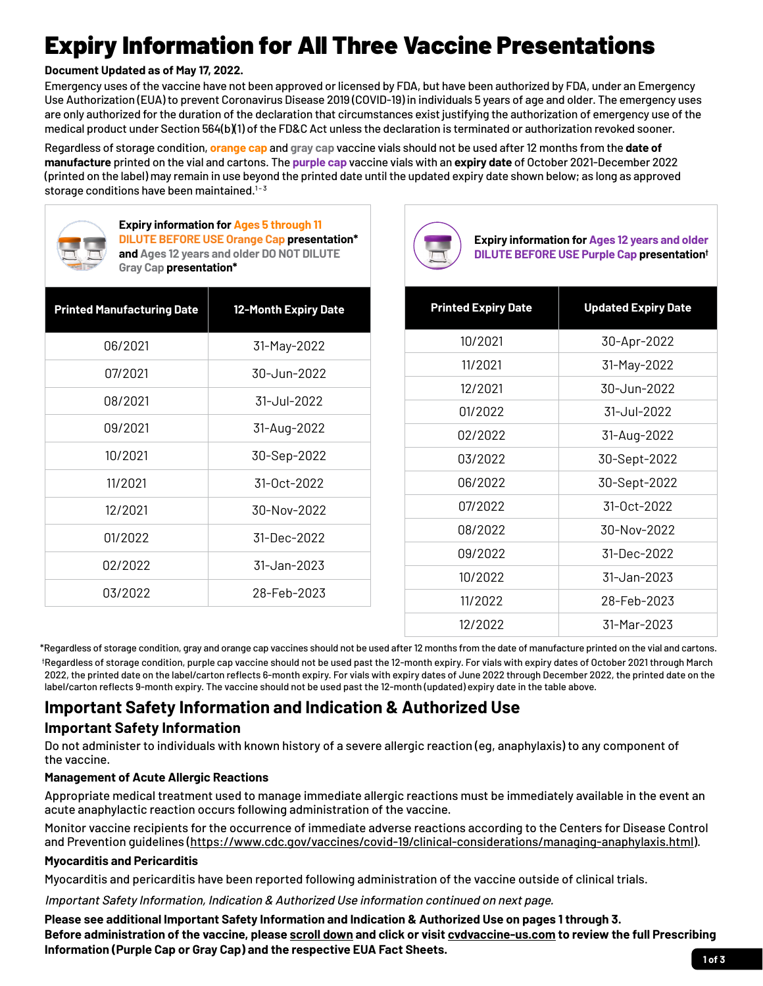# Expiry Information for All Three Vaccine Presentations

#### **Document Updated as of May 17, 2022.**

Emergency uses of the vaccine have not been approved or licensed by FDA, but have been authorized by FDA, under an Emergency Use Authorization (EUA) to prevent Coronavirus Disease 2019 (COVID-19) in individuals 5 years of age and older. The emergency uses are only authorized for the duration of the declaration that circumstances exist justifying the authorization of emergency use of the medical product under Section 564(b)(1) of the FD&C Act unless the declaration is terminated or authorization revoked sooner.

Regardless of storage condition, **orange cap** and **gray cap** vaccine vials should not be used after 12 months from the **date of manufacture** printed on the vial and cartons. The **purple cap** vaccine vials with an **expiry date** of October 2021-December 2022 (printed on the label) may remain in use beyond the printed date until the updated expiry date shown below; as long as approved storage conditions have been maintained. $1 - 3$ 



**Expiry information for Ages 5 through 11 DILUTE BEFORE USE Orange Cap presentation\* and Ages 12 years and older DO NOT DILUTE Gray Cap presentation\***

| <b>Printed Manufacturing Date</b> | <b>12-Month Expiry Date</b> |
|-----------------------------------|-----------------------------|
| 06/2021                           | 31-May-2022                 |
| 07/2021                           | 30-Jun-2022                 |
| 08/2021                           | 31-Jul-2022                 |
| 09/2021                           | 31-Aug-2022                 |
| 10/2021                           | 30-Sep-2022                 |
| 11/2021                           | $31 - 0ct - 2022$           |
| 12/2021                           | 30-Nov-2022                 |
| 01/2022                           | $31 - Dec - 2022$           |
| 02/2022                           | $31 -$ Jan-2023             |
| 03/2022                           | 28-Feb-2023                 |



**Expiry information for Ages 12 years and older DILUTE BEFORE USE Purple Cap presentation†**

| <b>Printed Expiry Date</b> | <b>Updated Expiry Date</b> |
|----------------------------|----------------------------|
| 10/2021                    | 30-Apr-2022                |
| 11/2021                    | 31-May-2022                |
| 12/2021                    | $30 -$ Jun-2022            |
| 01/2022                    | 31-Jul-2022                |
| 02/2022                    | 31-Aug-2022                |
| 03/2022                    | 30-Sept-2022               |
| 06/2022                    | 30-Sept-2022               |
| 07/2022                    | $31 - 0ct - 2022$          |
| 08/2022                    | 30-Nov-2022                |
| 09/2022                    | 31-Dec-2022                |
| 10/2022                    | 31-Jan-2023                |
| 11/2022                    | 28-Feb-2023                |
| 12/2022                    | 31-Mar-2023                |

\*Regardless of storage condition, gray and orange cap vaccines should not be used after 12 months from the date of manufacture printed on the vial and cartons.

† Regardless of storage condition, purple cap vaccine should not be used past the 12-month expiry. For vials with expiry dates of October 2021 through March 2022, the printed date on the label/carton reflects 6-month expiry. For vials with expiry dates of June 2022 through December 2022, the printed date on the label/carton reflects 9-month expiry. The vaccine should not be used past the 12-month (updated) expiry date in the table above.

## **Important Safety Information and Indication & Authorized Use**

## **Important Safety Information**

Do not administer to individuals with known history of a severe allergic reaction (eg, anaphylaxis) to any component of the vaccine.

#### **Management of Acute Allergic Reactions**

Appropriate medical treatment used to manage immediate allergic reactions must be immediately available in the event an acute anaphylactic reaction occurs following administration of the vaccine.

Monitor vaccine recipients for the occurrence of immediate adverse reactions according to the Centers for Disease Control and Prevention guidelines ([https://www.cdc.gov/vaccines/covid-19/clinical-considerations/managing-anaphylaxis.html\)](https://www.cdc.gov/vaccines/covid-19/clinical-considerations/managing-anaphylaxis.html).

#### **Myocarditis and Pericarditis**

Myocarditis and pericarditis have been reported following administration of the vaccine outside of clinical trials.

Important Safety Information, Indication & Authorized Use information continued on next page.

**Please see additional Important Safety Information and Indication & Authorized Use on pages 1 through 3. Before administration of the vaccine, please [scroll](#page-2-0) down and click or visi[t cvdvaccine-us.com t](http://cvdvaccine-us.com)o review the full Prescribing Information (Purple Cap or Gray Cap) and the respective EUA Fact Sheets.**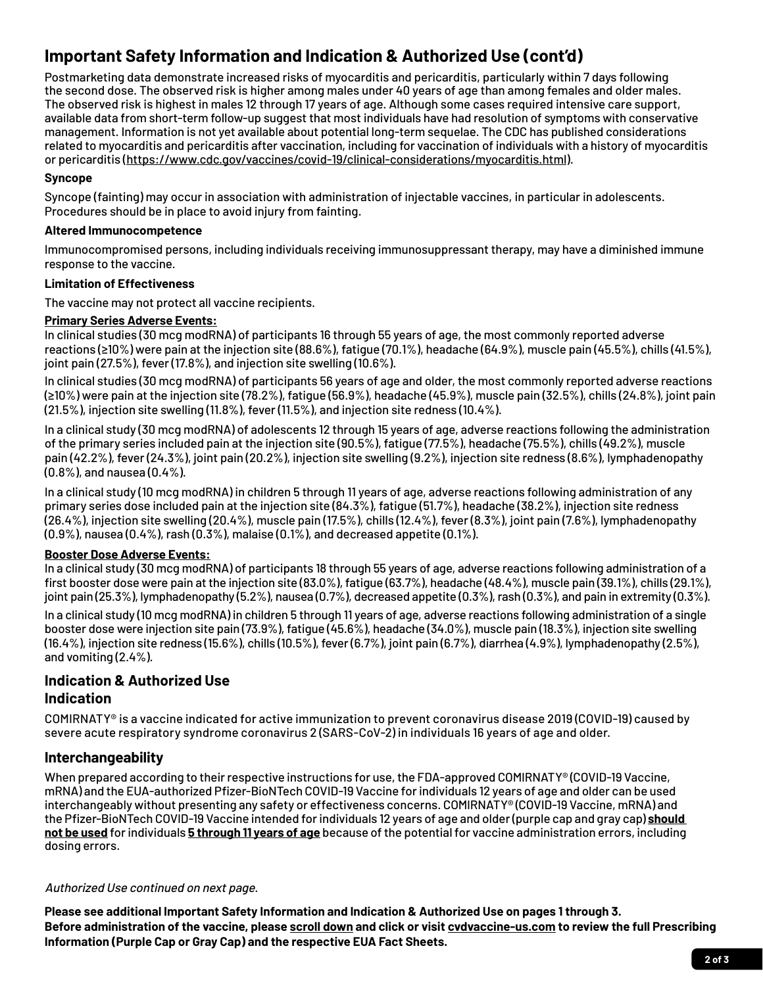# **Important Safety Information and Indication & Authorized Use (cont'd)**

Postmarketing data demonstrate increased risks of myocarditis and pericarditis, particularly within 7 days following the second dose. The observed risk is higher among males under 40 years of age than among females and older males. The observed risk is highest in males 12 through 17 years of age. Although some cases required intensive care support, available data from short-term follow-up suggest that most individuals have had resolution of symptoms with conservative management. Information is not yet available about potential long-term sequelae. The CDC has published considerations related to myocarditis and pericarditis after vaccination, including for vaccination of individuals with a history of myocarditis or pericarditis (https://www.cdc.gov/vaccines/covid-19/clinical-considerations/myocarditis.html).

#### **Syncope**

Syncope (fainting) may occur in association with administration of injectable vaccines, in particular in adolescents. Procedures should be in place to avoid injury from fainting.

#### **Altered Immunocompetence**

Immunocompromised persons, including individuals receiving immunosuppressant therapy, may have a diminished immune response to the vaccine.

#### **Limitation of Effectiveness**

The vaccine may not protect all vaccine recipients.

#### **Primary Series Adverse Events:**

In clinical studies (30 mcg modRNA) of participants 16 through 55 years of age, the most commonly reported adverse reactions (≥10%) were pain at the injection site (88.6%), fatigue (70.1%), headache (64.9%), muscle pain (45.5%), chills (41.5%), joint pain (27.5%), fever (17.8%), and injection site swelling (10.6%).

In clinical studies (30 mcg modRNA) of participants 56 years of age and older, the most commonly reported adverse reactions (≥10%) were pain at the injection site (78.2%), fatigue (56.9%), headache (45.9%), muscle pain (32.5%), chills (24.8%), joint pain (21.5%), injection site swelling (11.8%), fever (11.5%), and injection site redness (10.4%).

In a clinical study (30 mcg modRNA) of adolescents 12 through 15 years of age, adverse reactions following the administration of the primary series included pain at the injection site (90.5%), fatigue (77.5%), headache (75.5%), chills (49.2%), muscle pain (42.2%), fever (24.3%), joint pain (20.2%), injection site swelling (9.2%), injection site redness (8.6%), lymphadenopathy (0.8%), and nausea (0.4%).

In a clinical study (10 mcg modRNA) in children 5 through 11 years of age, adverse reactions following administration of any primary series dose included pain at the injection site (84.3%), fatigue (51.7%), headache (38.2%), injection site redness (26.4%), injection site swelling (20.4%), muscle pain (17.5%), chills (12.4%), fever (8.3%), joint pain (7.6%), lymphadenopathy (0.9%), nausea (0.4%), rash (0.3%), malaise (0.1%), and decreased appetite (0.1%).

#### **Booster Dose Adverse Events:**

In a clinical study (30 mcg modRNA) of participants 18 through 55 years of age, adverse reactions following administration of a first booster dose were pain at the injection site (83.0%), fatigue (63.7%), headache (48.4%), muscle pain (39.1%), chills (29.1%), joint pain (25.3%), lymphadenopathy (5.2%), nausea (0.7%), decreased appetite (0.3%), rash (0.3%), and pain in extremity (0.3%).

In a clinical study (10 mcg modRNA) in children 5 through 11 years of age, adverse reactions following administration of a single booster dose were injection site pain (73.9%), fatigue (45.6%), headache (34.0%), muscle pain (18.3%), injection site swelling (16.4%), injection site redness (15.6%), chills (10.5%), fever (6.7%), joint pain (6.7%), diarrhea (4.9%), lymphadenopathy (2.5%), and vomiting (2.4%).

## **Indication & Authorized Use Indication**

COMIRNATY® is a vaccine indicated for active immunization to prevent coronavirus disease 2019 (COVID-19) caused by severe acute respiratory syndrome coronavirus 2 (SARS-CoV-2) in individuals 16 years of age and older.

#### **Interchangeability**

When prepared according to their respective instructions for use, the FDA-approved COMIRNATY® (COVID-19 Vaccine, mRNA) and the EUA-authorized Pfizer-BioNTech COVID-19 Vaccine for individuals 12 years of age and older can be used interchangeably without presenting any safety or effectiveness concerns. COMIRNATY® (COVID-19 Vaccine, mRNA) and the Pfizer-BioNTech COVID-19 Vaccine intended for individuals 12 years of age and older (purple cap and gray cap) **should not be used** for individuals **5 through 11 years of age** because of the potential for vaccine administration errors, including dosing errors.

#### Authorized Use continued on next page.

**Please see additional Important Safety Information and Indication & Authorized Use on pages 1 through 3. Before administration of the vaccine, pleas[e scroll down a](#page-2-0)nd click or visi[t cvdvaccine-us.com t](http://cvdvaccine-us.com)o review the full Prescribing Information (Purple Cap or Gray Cap) and the respective EUA Fact Sheets.**